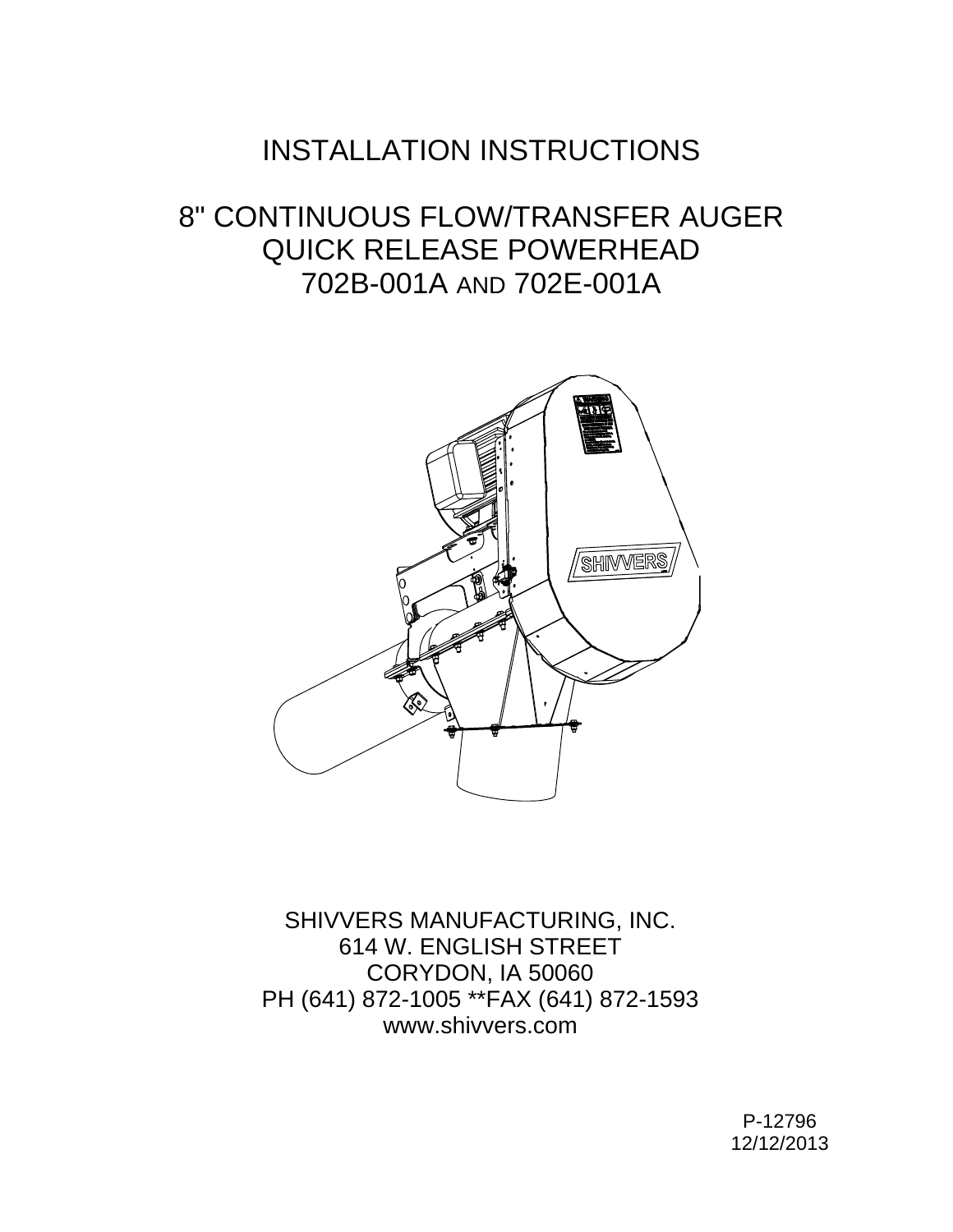## INSTALLATION INSTRUCTIONS

## 8" CONTINUOUS FLOW/TRANSFER AUGER QUICK RELEASE POWERHEAD 702B-001A AND 702E-001A



SHIVVERS MANUFACTURING, INC. 614 W. ENGLISH STREET CORYDON, IA 50060 PH (641) 872-1005 \*\*FAX (641) 872-1593 www.shivvers.com

> P-12796 12/12/2013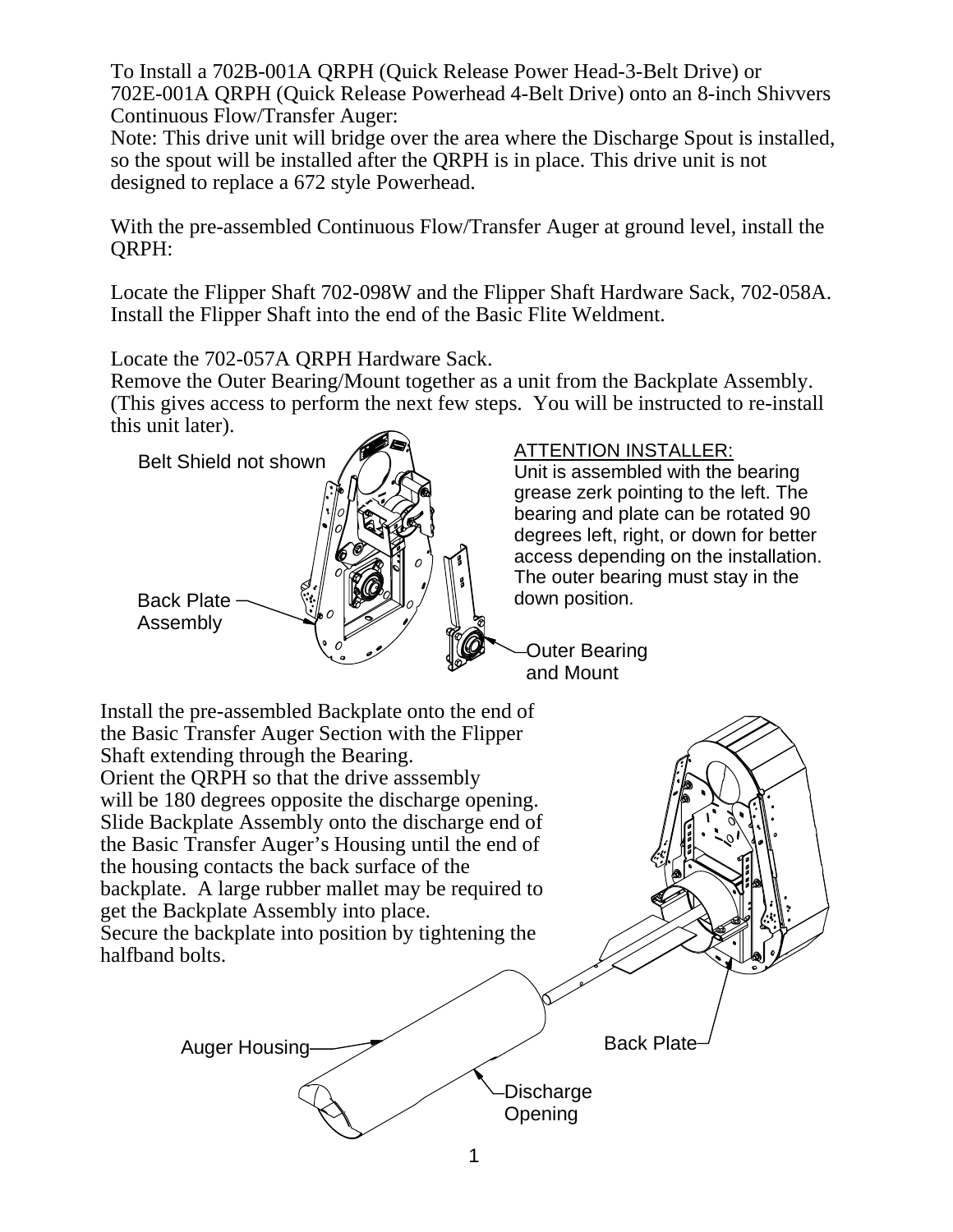To Install a 702B-001A QRPH (Quick Release Power Head-3-Belt Drive) or 702E-001A QRPH (Quick Release Powerhead 4-Belt Drive) onto an 8-inch Shivvers Continuous Flow/Transfer Auger:

Note: This drive unit will bridge over the area where the Discharge Spout is installed, so the spout will be installed after the QRPH is in place. This drive unit is not designed to replace a 672 style Powerhead.

With the pre-assembled Continuous Flow/Transfer Auger at ground level, install the QRPH:

Locate the Flipper Shaft 702-098W and the Flipper Shaft Hardware Sack, 702-058A. Install the Flipper Shaft into the end of the Basic Flite Weldment.

Locate the 702-057A QRPH Hardware Sack.

Remove the Outer Bearing/Mount together as a unit from the Backplate Assembly. (This gives access to perform the next few steps. You will be instructed to re-install this unit later).



## ATTENTION INSTALLER:

Unit is assembled with the bearing grease zerk pointing to the left. The bearing and plate can be rotated 90 degrees left, right, or down for better access depending on the installation. The outer bearing must stay in the down position.

Outer Bearing and Mount

Install the pre-assembled Backplate onto the end of the Basic Transfer Auger Section with the Flipper Shaft extending through the Bearing. Orient the QRPH so that the drive asssembly will be 180 degrees opposite the discharge opening. Slide Backplate Assembly onto the discharge end of the Basic Transfer Auger's Housing until the end of the housing contacts the back surface of the backplate. A large rubber mallet may be required to get the Backplate Assembly into place. Secure the backplate into position by tightening the halfband bolts. Back Plate Auger Housing **Discharge Opening**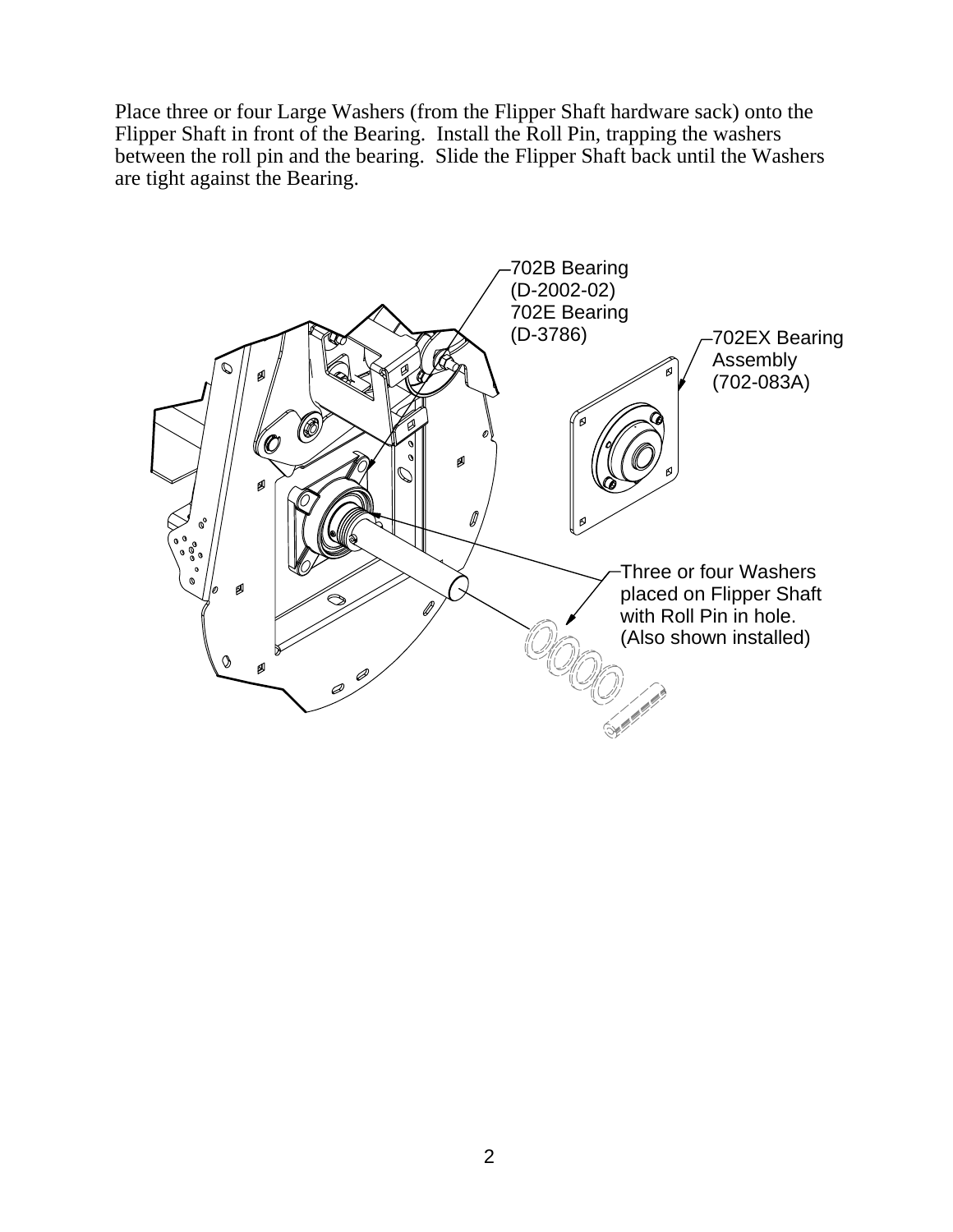Place three or four Large Washers (from the Flipper Shaft hardware sack) onto the Flipper Shaft in front of the Bearing. Install the Roll Pin, trapping the washers between the roll pin and the bearing. Slide the Flipper Shaft back until the Washers are tight against the Bearing.

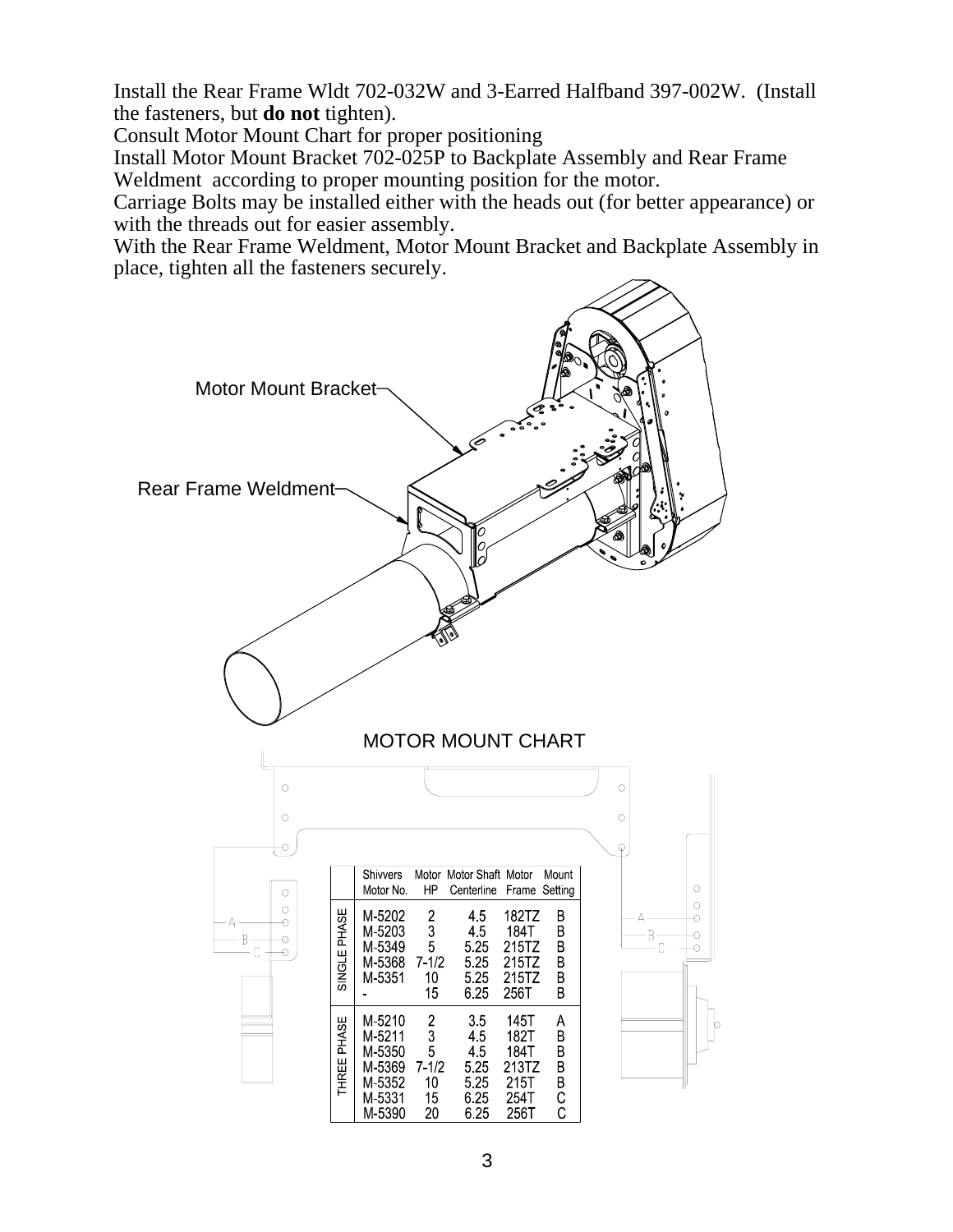Install the Rear Frame Wldt 702-032W and 3-Earred Halfband 397-002W. (Install the fasteners, but **do not** tighten).

Consult Motor Mount Chart for proper positioning

Install Motor Mount Bracket 702-025P to Backplate Assembly and Rear Frame Weldment according to proper mounting position for the motor.

Carriage Bolts may be installed either with the heads out (for better appearance) or with the threads out for easier assembly.

With the Rear Frame Weldment, Motor Mount Bracket and Backplate Assembly in place, tighten all the fasteners securely.

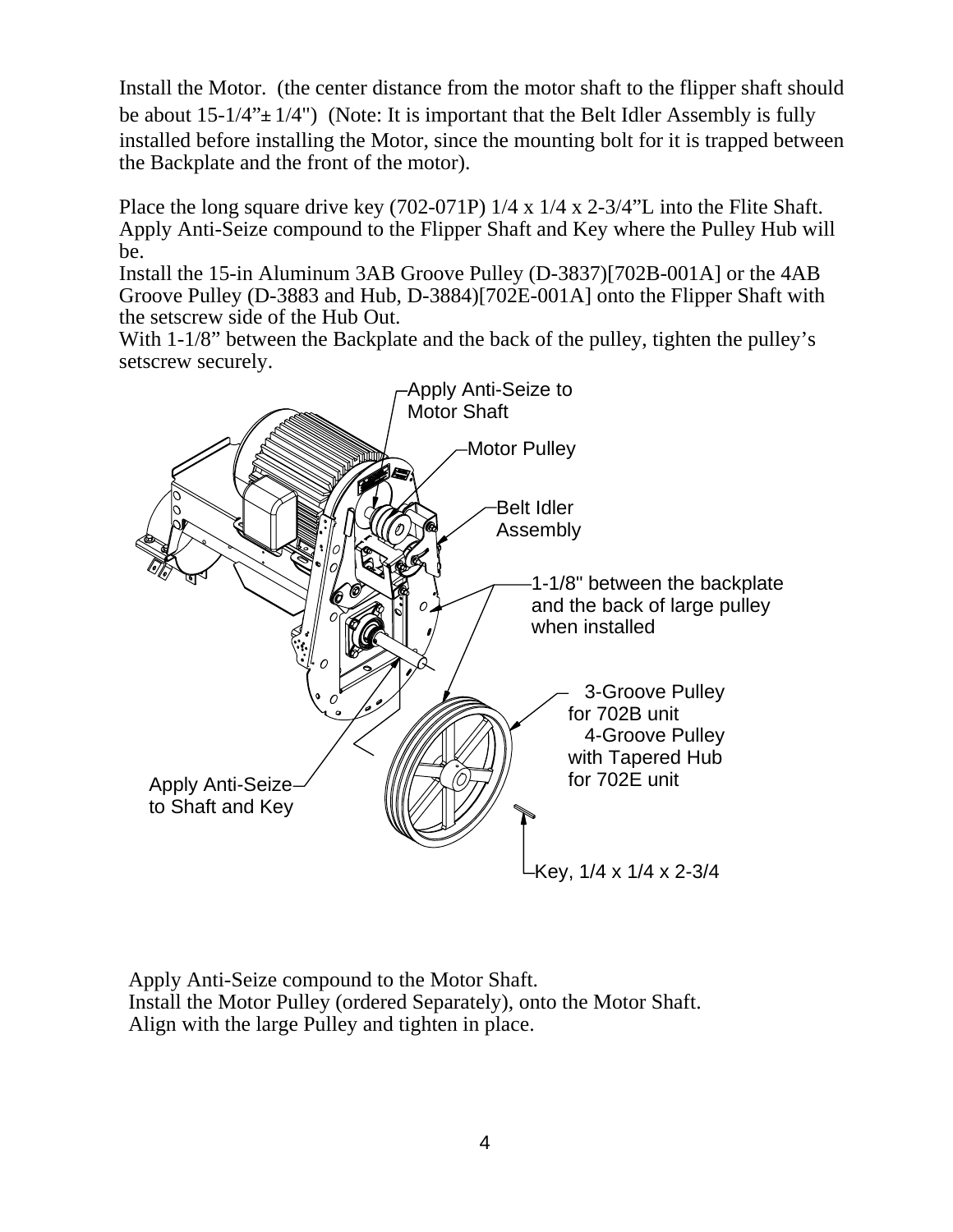Install the Motor. (the center distance from the motor shaft to the flipper shaft should be about  $15-1/4$ " $\pm$   $1/4$ ") (Note: It is important that the Belt Idler Assembly is fully installed before installing the Motor, since the mounting bolt for it is trapped between the Backplate and the front of the motor).

Place the long square drive key (702-071P) 1/4 x 1/4 x 2-3/4"L into the Flite Shaft. Apply Anti-Seize compound to the Flipper Shaft and Key where the Pulley Hub will be.

Install the 15-in Aluminum 3AB Groove Pulley (D-3837)[702B-001A] or the 4AB Groove Pulley (D-3883 and Hub, D-3884)[702E-001A] onto the Flipper Shaft with the setscrew side of the Hub Out.

With 1-1/8" between the Backplate and the back of the pulley, tighten the pulley's setscrew securely.



Apply Anti-Seize compound to the Motor Shaft. Install the Motor Pulley (ordered Separately), onto the Motor Shaft. Align with the large Pulley and tighten in place.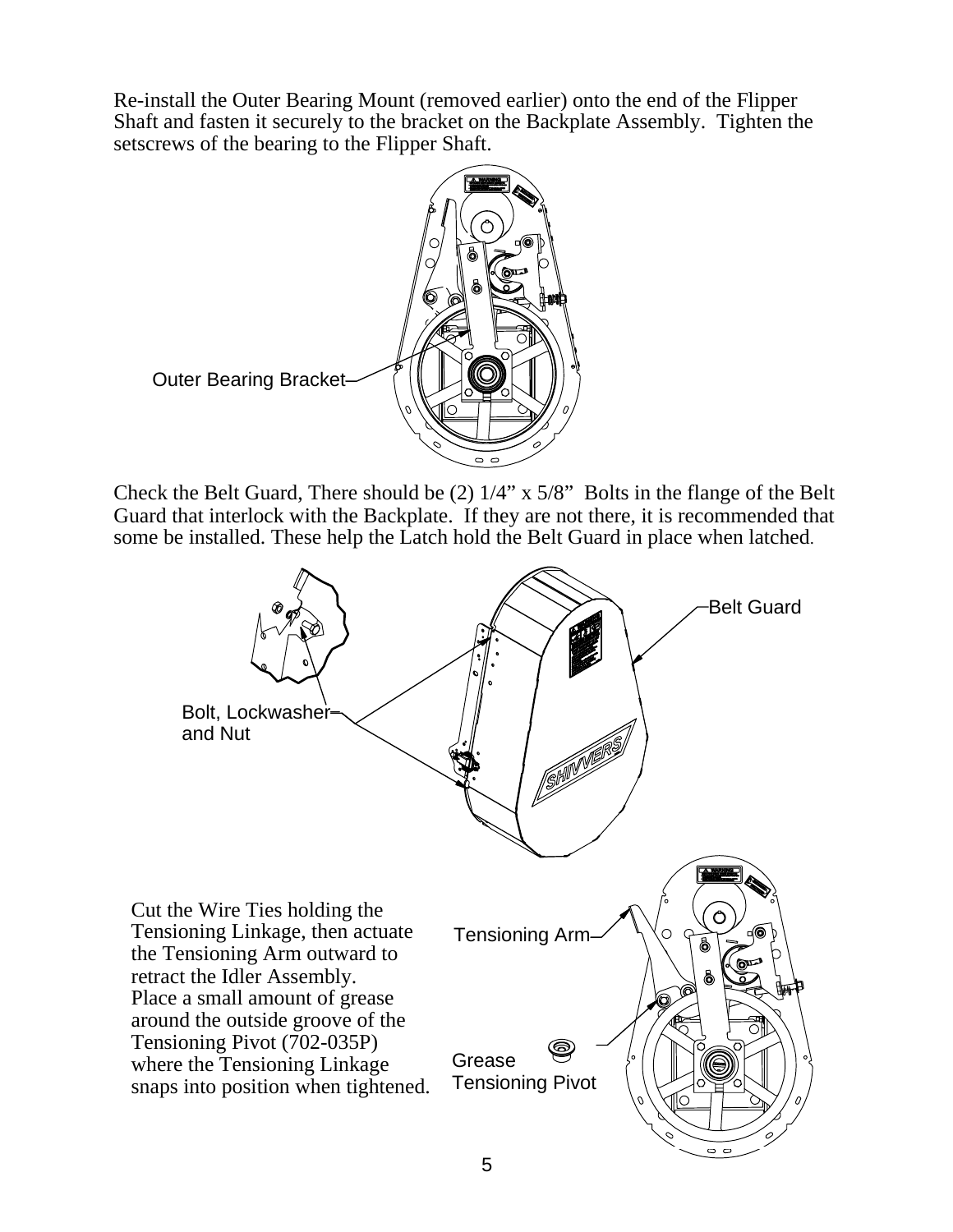Re-install the Outer Bearing Mount (removed earlier) onto the end of the Flipper Shaft and fasten it securely to the bracket on the Backplate Assembly. Tighten the setscrews of the bearing to the Flipper Shaft.



Check the Belt Guard, There should be (2) 1/4" x 5/8" Bolts in the flange of the Belt Guard that interlock with the Backplate. If they are not there, it is recommended that some be installed. These help the Latch hold the Belt Guard in place when latched.